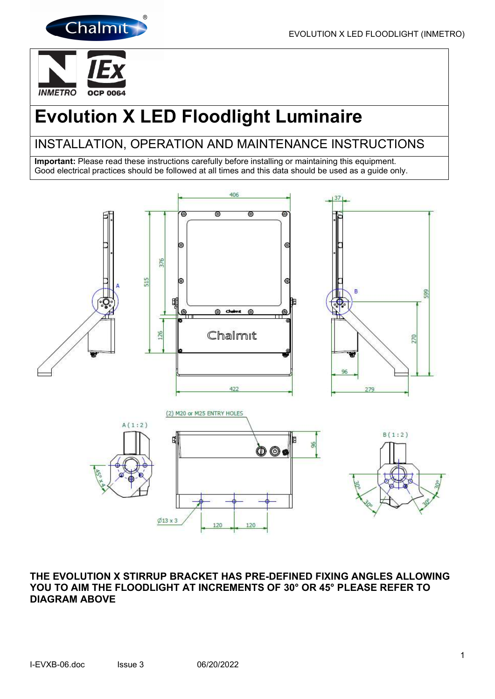



# Evolution X LED Floodlight Luminaire

# INSTALLATION, OPERATION AND MAINTENANCE INSTRUCTIONS

Important: Please read these instructions carefully before installing or maintaining this equipment. Good electrical practices should be followed at all times and this data should be used as a guide only.



# THE EVOLUTION X STIRRUP BRACKET HAS PRE-DEFINED FIXING ANGLES ALLOWING YOU TO AIM THE FLOODLIGHT AT INCREMENTS OF 30° OR 45° PLEASE REFER TO DIAGRAM ABOVE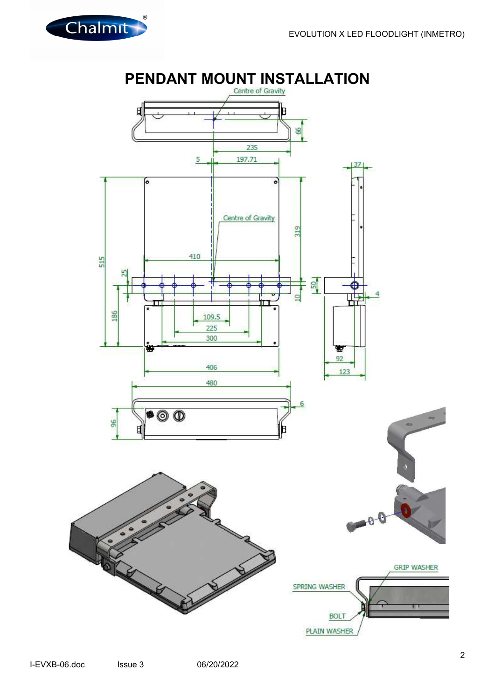

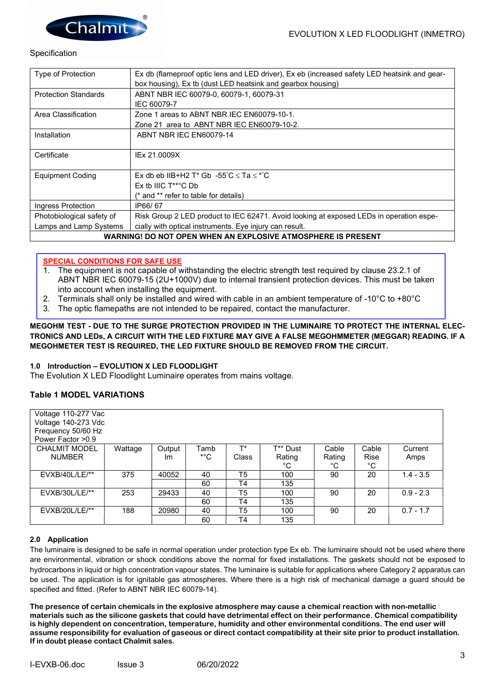

#### **Specification**

| Type of Protection                                           | Ex db (flameproof optic lens and LED driver), Ex eb (increased safety LED heatsink and gear- |  |  |  |  |
|--------------------------------------------------------------|----------------------------------------------------------------------------------------------|--|--|--|--|
|                                                              | box housing), Ex tb (dust LED heatsink and gearbox housing)                                  |  |  |  |  |
| <b>Protection Standards</b>                                  | ABNT NBR IEC 60079-0, 60079-1, 60079-31                                                      |  |  |  |  |
|                                                              | IEC 60079-7                                                                                  |  |  |  |  |
| Area Classification                                          | Zone 1 areas to ABNT NBR IEC EN60079-10-1.                                                   |  |  |  |  |
|                                                              | Zone 21 area to ABNT NBR IEC EN60079-10-2.                                                   |  |  |  |  |
| Installation                                                 | ABNT NBR IEC EN60079-14                                                                      |  |  |  |  |
|                                                              |                                                                                              |  |  |  |  |
| Certificate                                                  | IEx 21.0009X                                                                                 |  |  |  |  |
|                                                              |                                                                                              |  |  |  |  |
| <b>Equipment Coding</b>                                      | Ex db eb IIB+H2 T* Gb $-55^{\circ}$ C $\leq$ Ta $\leq$ * $^{\circ}$ C                        |  |  |  |  |
|                                                              | Ex the IIIC $T^{**}$ <sup>c</sup> C Db                                                       |  |  |  |  |
|                                                              | (* and ** refer to table for details)                                                        |  |  |  |  |
| Ingress Protection                                           | IP66/67                                                                                      |  |  |  |  |
| Photobiological safety of                                    | Risk Group 2 LED product to IEC 62471. Avoid looking at exposed LEDs in operation espe-      |  |  |  |  |
| Lamps and Lamp Systems                                       | cially with optical instruments. Eye injury can result.                                      |  |  |  |  |
| WARNING! DO NOT OPEN WHEN AN EXPLOSIVE ATMOSPHERE IS PRESENT |                                                                                              |  |  |  |  |

#### SPECIAL CONDITIONS FOR SAFE USE

- 1. The equipment is not capable of withstanding the electric strength test required by clause 23.2.1 of ABNT NBR IEC 60079-15 (2U+1000V) due to internal transient protection devices. This must be taken into account when installing the equipment.
- 2. Terminals shall only be installed and wired with cable in an ambient temperature of -10°C to +80°C
- 3. The optic flamepaths are not intended to be repaired, contact the manufacturer.

#### MEGOHM TEST - DUE TO THE SURGE PROTECTION PROVIDED IN THE LUMINAIRE TO PROTECT THE INTERNAL ELEC-TRONICS AND LEDs, A CIRCUIT WITH THE LED FIXTURE MAY GIVE A FALSE MEGOHMMETER (MEGGAR) READING. IF A MEGOHMETER TEST IS REQUIRED, THE LED FIXTURE SHOULD BE REMOVED FROM THE CIRCUIT.

#### 1.0 Introduction – EVOLUTION X LED FLOODLIGHT

The Evolution X LED Floodlight Luminaire operates from mains voltage.

### Table 1 MODEL VARIATIONS

| Voltage 110-277 Vac<br>Voltage 140-273 Vdc<br>Frequency 50/60 Hz |         |        |                   |                |          |        |             |             |
|------------------------------------------------------------------|---------|--------|-------------------|----------------|----------|--------|-------------|-------------|
| Power Factor > 0.9                                               |         |        |                   | T*             |          |        |             |             |
| <b>CHALMIT MODEL</b>                                             | Wattage | Output | Tamb              |                | T** Dust | Cable  | Cable       | Current     |
| <b>NUMBER</b>                                                    |         | Im     | $^{\ast \circ}$ C | Class          | Rating   | Rating | <b>Rise</b> | Amps        |
|                                                                  |         |        |                   |                | °C       | °C     | °C          |             |
| $EVXB/40L/LE/**$                                                 | 375     | 40052  | 40                | T5             | 100      | 90     | 20          | $1.4 - 3.5$ |
|                                                                  |         |        | 60                | T <sub>4</sub> | 135      |        |             |             |
| $EVXB/30L/LE/**$                                                 | 253     | 29433  | 40                | T <sub>5</sub> | 100      | 90     | 20          | $0.9 - 2.3$ |
|                                                                  |         |        | 60                | T4             | 135      |        |             |             |
| $EVXB/20L/LE/**$                                                 | 188     | 20980  | 40                | T <sub>5</sub> | 100      | 90     | 20          | $0.7 - 1.7$ |
|                                                                  |         |        | 60                | T4             | 135      |        |             |             |

#### 2.0 Application

The luminaire is designed to be safe in normal operation under protection type Ex eb. The luminaire should not be used where there are environmental, vibration or shock conditions above the normal for fixed installations. The gaskets should not be exposed to hydrocarbons in liquid or high concentration vapour states. The luminaire is suitable for applications where Category 2 apparatus can be used. The application is for ignitable gas atmospheres. Where there is a high risk of mechanical damage a guard should be specified and fitted. (Refer to ABNT NBR IEC 60079-14).

The presence of certain chemicals in the explosive atmosphere may cause a chemical reaction with non-metallic materials such as the silicone gaskets that could have detrimental effect on their performance. Chemical compatibility is highly dependent on concentration, temperature, humidity and other environmental conditions. The end user will assume responsibility for evaluation of gaseous or direct contact compatibility at their site prior to product installation. If in doubt please contact Chalmit sales.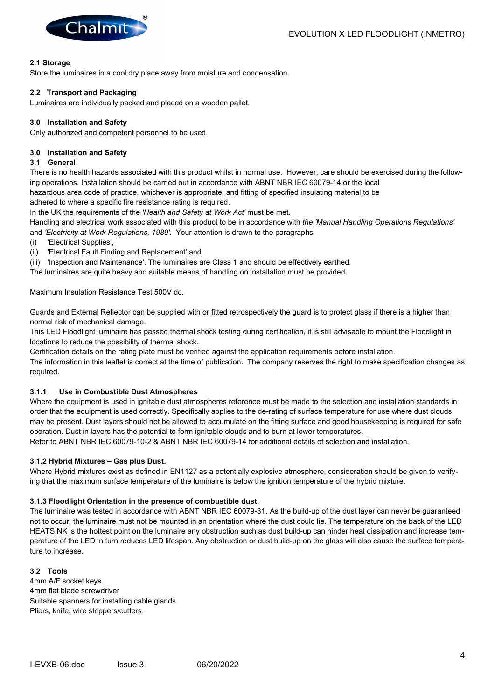

#### 2.1 Storage

Store the luminaires in a cool dry place away from moisture and condensation.

#### 2.2 Transport and Packaging

Luminaires are individually packed and placed on a wooden pallet.

#### 3.0 Installation and Safety

Only authorized and competent personnel to be used.

#### 3.0 Installation and Safety

#### 3.1 General

There is no health hazards associated with this product whilst in normal use. However, care should be exercised during the following operations. Installation should be carried out in accordance with ABNT NBR IEC 60079-14 or the local hazardous area code of practice, whichever is appropriate, and fitting of specified insulating material to be

adhered to where a specific fire resistance rating is required.

In the UK the requirements of the 'Health and Safety at Work Act' must be met.

Handling and electrical work associated with this product to be in accordance with the 'Manual Handling Operations Regulations' and 'Electricity at Work Regulations, 1989'. Your attention is drawn to the paragraphs

- (i) 'Electrical Supplies',
- (ii) 'Electrical Fault Finding and Replacement' and

(iii) 'Inspection and Maintenance'. The luminaires are Class 1 and should be effectively earthed.

The luminaires are quite heavy and suitable means of handling on installation must be provided.

Maximum Insulation Resistance Test 500V dc.

Guards and External Reflector can be supplied with or fitted retrospectively the guard is to protect glass if there is a higher than normal risk of mechanical damage.

This LED Floodlight luminaire has passed thermal shock testing during certification, it is still advisable to mount the Floodlight in locations to reduce the possibility of thermal shock.

Certification details on the rating plate must be verified against the application requirements before installation.

The information in this leaflet is correct at the time of publication. The company reserves the right to make specification changes as required.

#### 3.1.1 Use in Combustible Dust Atmospheres

Where the equipment is used in ignitable dust atmospheres reference must be made to the selection and installation standards in order that the equipment is used correctly. Specifically applies to the de-rating of surface temperature for use where dust clouds may be present. Dust layers should not be allowed to accumulate on the fitting surface and good housekeeping is required for safe operation. Dust in layers has the potential to form ignitable clouds and to burn at lower temperatures.

Refer to ABNT NBR IEC 60079-10-2 & ABNT NBR IEC 60079-14 for additional details of selection and installation.

#### 3.1.2 Hybrid Mixtures – Gas plus Dust.

Where Hybrid mixtures exist as defined in EN1127 as a potentially explosive atmosphere, consideration should be given to verifying that the maximum surface temperature of the luminaire is below the ignition temperature of the hybrid mixture.

#### 3.1.3 Floodlight Orientation in the presence of combustible dust.

The luminaire was tested in accordance with ABNT NBR IEC 60079-31. As the build-up of the dust layer can never be guaranteed not to occur, the luminaire must not be mounted in an orientation where the dust could lie. The temperature on the back of the LED HEATSINK is the hottest point on the luminaire any obstruction such as dust build-up can hinder heat dissipation and increase temperature of the LED in turn reduces LED lifespan. Any obstruction or dust build-up on the glass will also cause the surface temperature to increase.

#### 3.2 Tools

4mm A/F socket keys 4mm flat blade screwdriver Suitable spanners for installing cable glands Pliers, knife, wire strippers/cutters.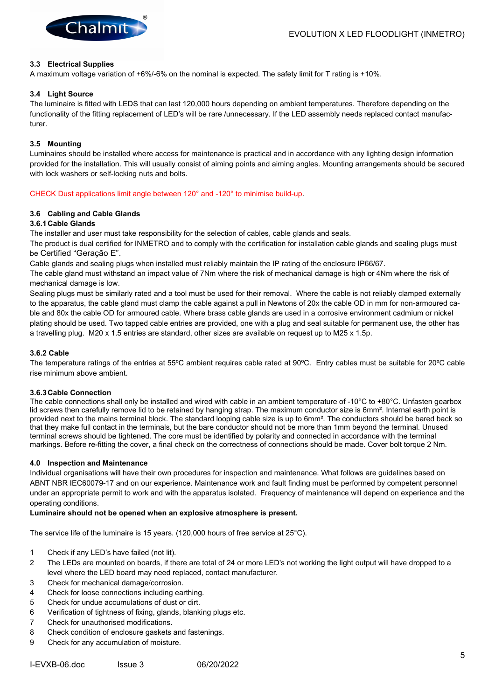

#### 3.3 Electrical Supplies

A maximum voltage variation of +6%/-6% on the nominal is expected. The safety limit for T rating is +10%.

#### 3.4 Light Source

The luminaire is fitted with LEDS that can last 120,000 hours depending on ambient temperatures. Therefore depending on the functionality of the fitting replacement of LED's will be rare /unnecessary. If the LED assembly needs replaced contact manufacturer.

#### 3.5 Mounting

Luminaires should be installed where access for maintenance is practical and in accordance with any lighting design information provided for the installation. This will usually consist of aiming points and aiming angles. Mounting arrangements should be secured with lock washers or self-locking nuts and bolts.

CHECK Dust applications limit angle between 120° and -120° to minimise build-up.

#### 3.6 Cabling and Cable Glands

#### 3.6.1 Cable Glands

The installer and user must take responsibility for the selection of cables, cable glands and seals.

The product is dual certified for INMETRO and to comply with the certification for installation cable glands and sealing plugs must be Certified "Geração E".

Cable glands and sealing plugs when installed must reliably maintain the IP rating of the enclosure IP66/67.

The cable gland must withstand an impact value of 7Nm where the risk of mechanical damage is high or 4Nm where the risk of mechanical damage is low.

Sealing plugs must be similarly rated and a tool must be used for their removal. Where the cable is not reliably clamped externally to the apparatus, the cable gland must clamp the cable against a pull in Newtons of 20x the cable OD in mm for non-armoured cable and 80x the cable OD for armoured cable. Where brass cable glands are used in a corrosive environment cadmium or nickel plating should be used. Two tapped cable entries are provided, one with a plug and seal suitable for permanent use, the other has a travelling plug. M20 x 1.5 entries are standard, other sizes are available on request up to M25 x 1.5p.

#### 3.6.2 Cable

The temperature ratings of the entries at 55ºC ambient requires cable rated at 90ºC. Entry cables must be suitable for 20ºC cable rise minimum above ambient.

#### 3.6.3 Cable Connection

The cable connections shall only be installed and wired with cable in an ambient temperature of -10°C to +80°C. Unfasten gearbox lid screws then carefully remove lid to be retained by hanging strap. The maximum conductor size is 6mm<sup>2</sup>. Internal earth point is provided next to the mains terminal block. The standard looping cable size is up to 6mm<sup>2</sup>. The conductors should be bared back so that they make full contact in the terminals, but the bare conductor should not be more than 1mm beyond the terminal. Unused terminal screws should be tightened. The core must be identified by polarity and connected in accordance with the terminal markings. Before re-fitting the cover, a final check on the correctness of connections should be made. Cover bolt torque 2 Nm.

#### 4.0 Inspection and Maintenance

Individual organisations will have their own procedures for inspection and maintenance. What follows are guidelines based on ABNT NBR IEC60079-17 and on our experience. Maintenance work and fault finding must be performed by competent personnel under an appropriate permit to work and with the apparatus isolated. Frequency of maintenance will depend on experience and the operating conditions.

#### Luminaire should not be opened when an explosive atmosphere is present.

The service life of the luminaire is 15 years. (120,000 hours of free service at 25°C).

- 1 Check if any LED's have failed (not lit).
- 2 The LEDs are mounted on boards, if there are total of 24 or more LED's not working the light output will have dropped to a level where the LED board may need replaced, contact manufacturer.
- 3 Check for mechanical damage/corrosion.
- 4 Check for loose connections including earthing.
- 5 Check for undue accumulations of dust or dirt.
- 6 Verification of tightness of fixing, glands, blanking plugs etc.
- 7 Check for unauthorised modifications.
- 8 Check condition of enclosure gaskets and fastenings.
- 9 Check for any accumulation of moisture.